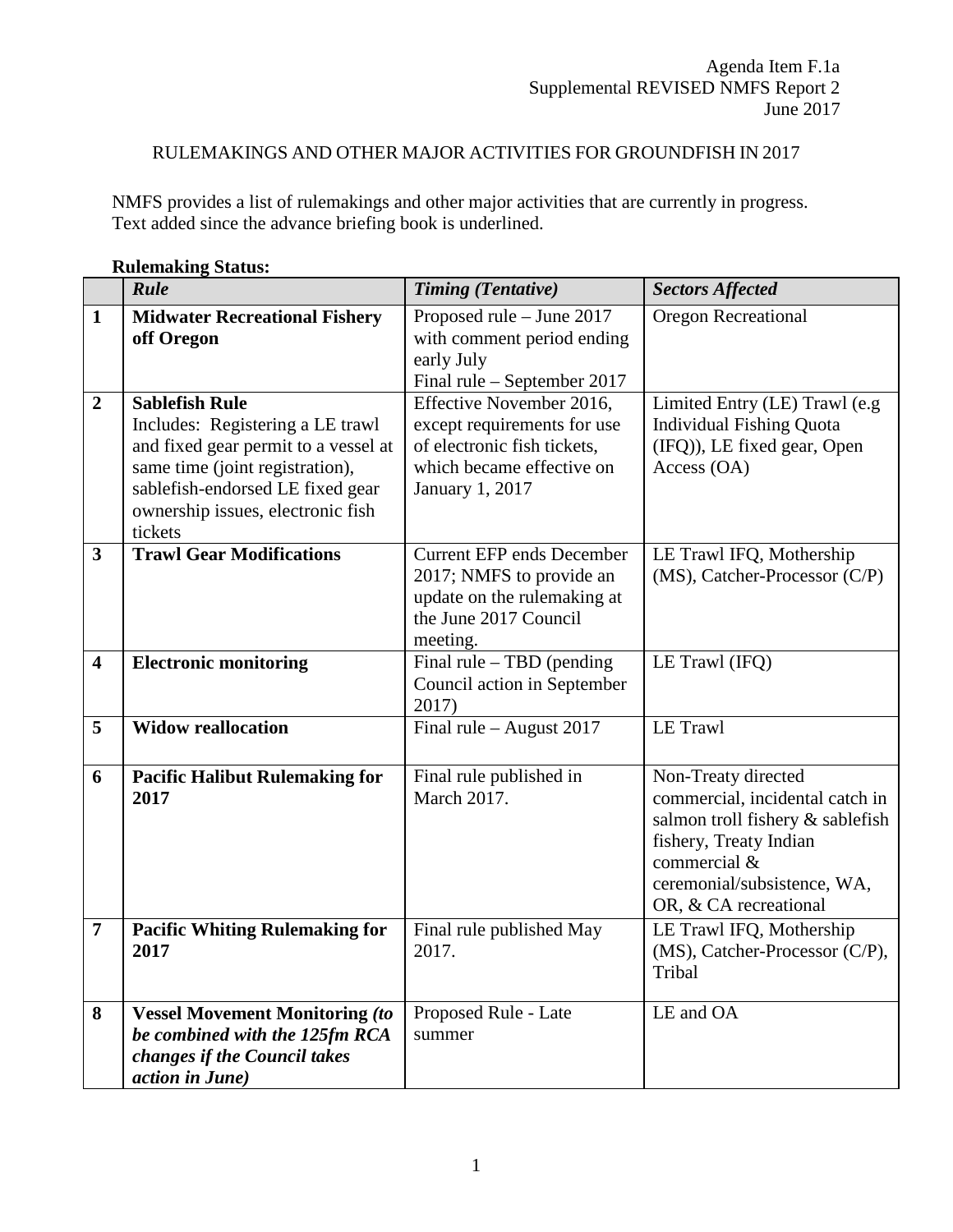## RULEMAKINGS AND OTHER MAJOR ACTIVITIES FOR GROUNDFISH IN 2017

NMFS provides a list of rulemakings and other major activities that are currently in progress. Text added since the advance briefing book is underlined.

|                         | Kultmaking biatus.<br>Rule                                                                                                                                                                                               | <b>Timing (Tentative)</b>                                                                                                                     | <b>Sectors Affected</b>                                                                                                                                                                      |
|-------------------------|--------------------------------------------------------------------------------------------------------------------------------------------------------------------------------------------------------------------------|-----------------------------------------------------------------------------------------------------------------------------------------------|----------------------------------------------------------------------------------------------------------------------------------------------------------------------------------------------|
|                         |                                                                                                                                                                                                                          |                                                                                                                                               |                                                                                                                                                                                              |
| $\mathbf{1}$            | <b>Midwater Recreational Fishery</b><br>off Oregon                                                                                                                                                                       | Proposed rule - June 2017<br>with comment period ending<br>early July                                                                         | Oregon Recreational                                                                                                                                                                          |
|                         |                                                                                                                                                                                                                          | Final rule – September 2017                                                                                                                   |                                                                                                                                                                                              |
| $\boldsymbol{2}$        | <b>Sablefish Rule</b><br>Includes: Registering a LE trawl<br>and fixed gear permit to a vessel at<br>same time (joint registration),<br>sablefish-endorsed LE fixed gear<br>ownership issues, electronic fish<br>tickets | Effective November 2016,<br>except requirements for use<br>of electronic fish tickets,<br>which became effective on<br><b>January 1, 2017</b> | Limited Entry (LE) Trawl (e.g<br><b>Individual Fishing Quota</b><br>(IFQ)), LE fixed gear, Open<br>Access (OA)                                                                               |
| $\mathbf{3}$            | <b>Trawl Gear Modifications</b>                                                                                                                                                                                          | <b>Current EFP ends December</b><br>2017; NMFS to provide an<br>update on the rulemaking at<br>the June 2017 Council<br>meeting.              | LE Trawl IFQ, Mothership<br>(MS), Catcher-Processor (C/P)                                                                                                                                    |
| $\overline{\mathbf{4}}$ | <b>Electronic monitoring</b>                                                                                                                                                                                             | Final rule $-$ TBD (pending<br>Council action in September<br>2017)                                                                           | LE Trawl (IFQ)                                                                                                                                                                               |
| 5                       | <b>Widow reallocation</b>                                                                                                                                                                                                | Final rule $-$ August 2017                                                                                                                    | LE Trawl                                                                                                                                                                                     |
| 6                       | <b>Pacific Halibut Rulemaking for</b><br>2017                                                                                                                                                                            | Final rule published in<br>March 2017.                                                                                                        | Non-Treaty directed<br>commercial, incidental catch in<br>salmon troll fishery & sablefish<br>fishery, Treaty Indian<br>commercial &<br>ceremonial/subsistence, WA,<br>OR, & CA recreational |
| $\overline{7}$          | <b>Pacific Whiting Rulemaking for</b><br>2017                                                                                                                                                                            | Final rule published May<br>2017.                                                                                                             | LE Trawl IFQ, Mothership<br>(MS), Catcher-Processor (C/P),<br>Tribal                                                                                                                         |
| 8                       | <b>Vessel Movement Monitoring (to</b><br>be combined with the 125fm RCA<br>changes if the Council takes<br>action in June)                                                                                               | Proposed Rule - Late<br>summer                                                                                                                | LE and OA                                                                                                                                                                                    |

**Rulemaking Status:**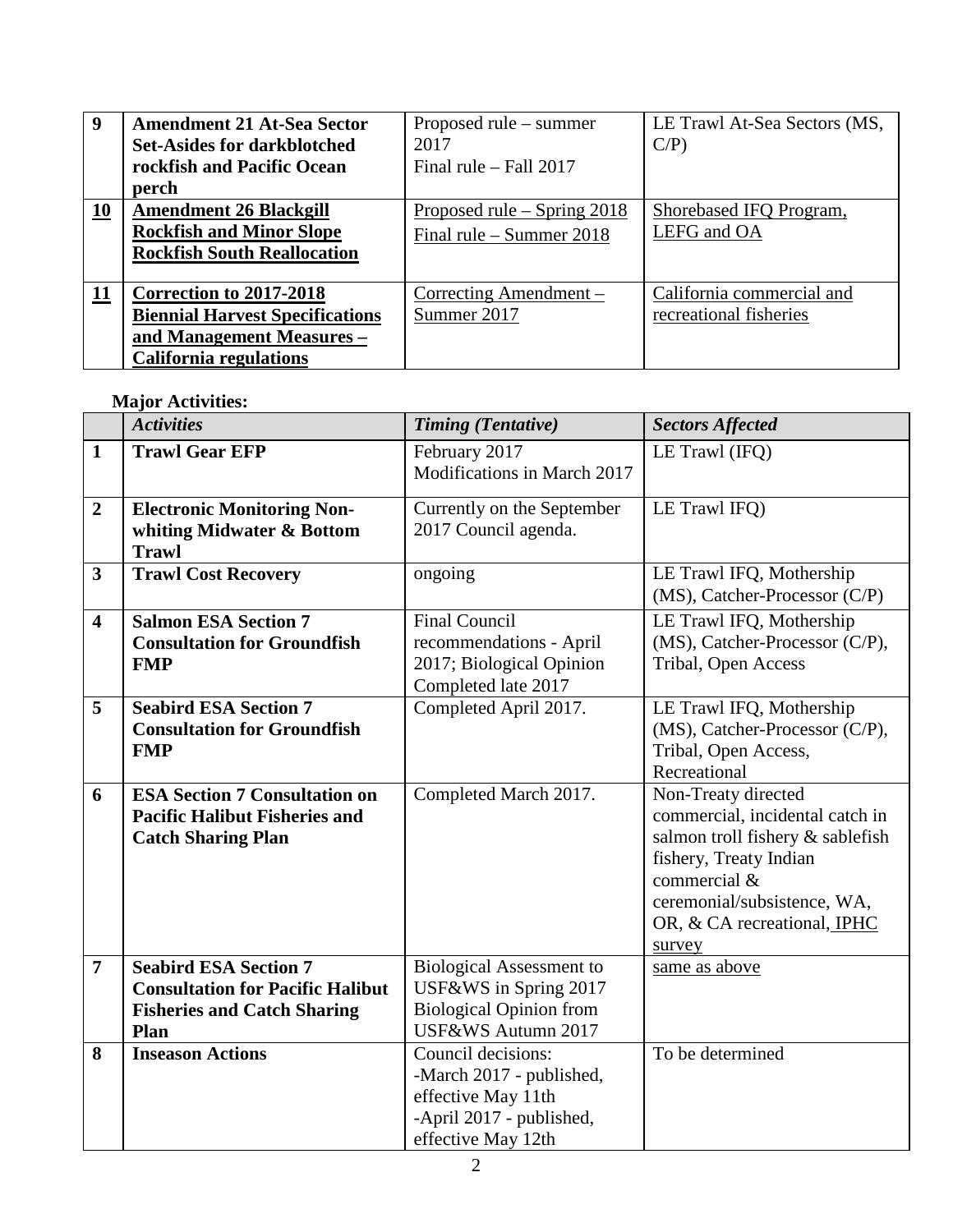| 9  | <b>Amendment 21 At-Sea Sector</b>      | Proposed rule – summer        | LE Trawl At-Sea Sectors (MS, |
|----|----------------------------------------|-------------------------------|------------------------------|
|    | <b>Set-Asides for darkblotched</b>     | 2017                          | $C/P$ )                      |
|    | rockfish and Pacific Ocean             | Final rule $-$ Fall 2017      |                              |
|    | perch                                  |                               |                              |
| 10 | <b>Amendment 26 Blackgill</b>          | Proposed rule – Spring $2018$ | Shorebased IFQ Program,      |
|    | <b>Rockfish and Minor Slope</b>        | Final rule – Summer $2018$    | LEFG and OA                  |
|    | <b>Rockfish South Reallocation</b>     |                               |                              |
|    |                                        |                               |                              |
| 11 | Correction to 2017-2018                | Correcting Amendment –        | California commercial and    |
|    | <b>Biennial Harvest Specifications</b> | Summer 2017                   | recreational fisheries       |
|    | and Management Measures -              |                               |                              |
|    | <b>California regulations</b>          |                               |                              |

## **Major Activities:**

|                         | <b>Activities</b>                                                                                                     | <b>Timing (Tentative)</b>                                                                                              | <b>Sectors Affected</b>                                                                                                                                                                                      |
|-------------------------|-----------------------------------------------------------------------------------------------------------------------|------------------------------------------------------------------------------------------------------------------------|--------------------------------------------------------------------------------------------------------------------------------------------------------------------------------------------------------------|
| $\mathbf{1}$            | <b>Trawl Gear EFP</b>                                                                                                 | February 2017<br>Modifications in March 2017                                                                           | LE Trawl (IFQ)                                                                                                                                                                                               |
| $\boldsymbol{2}$        | <b>Electronic Monitoring Non-</b><br>whiting Midwater & Bottom<br><b>Trawl</b>                                        | Currently on the September<br>2017 Council agenda.                                                                     | LE Trawl IFQ)                                                                                                                                                                                                |
| $\mathbf{3}$            | <b>Trawl Cost Recovery</b>                                                                                            | ongoing                                                                                                                | LE Trawl IFQ, Mothership<br>(MS), Catcher-Processor (C/P)                                                                                                                                                    |
| $\overline{\mathbf{4}}$ | <b>Salmon ESA Section 7</b><br><b>Consultation for Groundfish</b><br><b>FMP</b>                                       | <b>Final Council</b><br>recommendations - April<br>2017; Biological Opinion<br>Completed late 2017                     | LE Trawl IFQ, Mothership<br>(MS), Catcher-Processor (C/P),<br>Tribal, Open Access                                                                                                                            |
| 5                       | <b>Seabird ESA Section 7</b><br><b>Consultation for Groundfish</b><br><b>FMP</b>                                      | Completed April 2017.                                                                                                  | LE Trawl IFQ, Mothership<br>(MS), Catcher-Processor (C/P),<br>Tribal, Open Access,<br>Recreational                                                                                                           |
| 6                       | <b>ESA Section 7 Consultation on</b><br><b>Pacific Halibut Fisheries and</b><br><b>Catch Sharing Plan</b>             | Completed March 2017.                                                                                                  | Non-Treaty directed<br>commercial, incidental catch in<br>salmon troll fishery & sablefish<br>fishery, Treaty Indian<br>commercial &<br>ceremonial/subsistence, WA,<br>OR, & CA recreational, IPHC<br>survey |
| $\overline{7}$          | <b>Seabird ESA Section 7</b><br><b>Consultation for Pacific Halibut</b><br><b>Fisheries and Catch Sharing</b><br>Plan | <b>Biological Assessment to</b><br>USF&WS in Spring 2017<br><b>Biological Opinion from</b><br>USF&WS Autumn 2017       | same as above                                                                                                                                                                                                |
| 8                       | <b>Inseason Actions</b>                                                                                               | Council decisions:<br>-March 2017 - published,<br>effective May 11th<br>-April 2017 - published,<br>effective May 12th | To be determined                                                                                                                                                                                             |